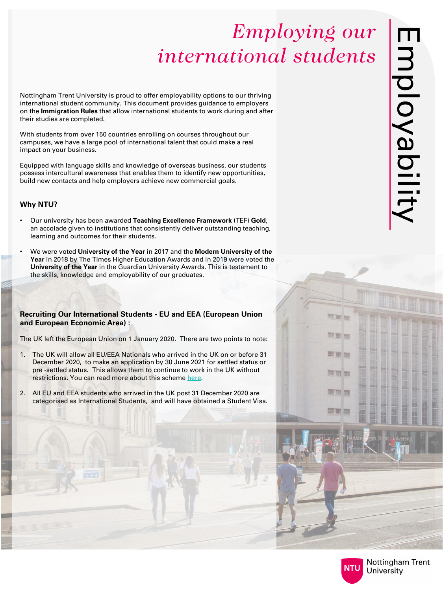Nottingham Trent University is proud to offer employability options to our thriving international student community. This document provides guidance to employers on the **Immigration Rules** that allow international students to work during and after their studies are completed.

With students from over 150 countries enrolling on courses throughout our campuses, we have a large pool of international talent that could make a real impact on your business.

Equipped with language skills and knowledge of overseas business, our students possess intercultural awareness that enables them to identify new opportunities, build new contacts and help employers achieve new commercial goals.

### **Why NTU?**

- Our university has been awarded **Teaching Excellence Framework** (TEF) **Gold**, an accolade given to institutions that consistently deliver outstanding teaching, learning and outcomes for their students.
- We were voted **University of the Year** in 2017 and the **Modern University of the Year** in 2018 by The Times Higher Education Awards and in 2019 were voted the **University of the Year** in the Guardian University Awards. This is testament to the skills, knowledge and employability of our graduates.

### **Recruiting Our International Students - EU and EEA (European Union and European Economic Area) :**

The UK left the European Union on 1 January 2020. There are two points to note:

- 1. The UK will allow all EU/EEA Nationals who arrived in the UK on or before 31 December 2020, to make an application by 30 June 2021 for settled status or pre -settled status. This allows them to continue to work in the UK without restrictions. You can read more about this scheme [here.](https://www.theparagongroup.co.uk/paragon-law/news-case-studies-articles/2018/06/22/the-government-announces-the-application-requirements-for-eu-nationals-arriving-up-until-2020/)
- 2. All EU and EEA students who arrived in the UK post 31 December 2020 are categorised as International Students, and will have obtained a Student Visa.





TI STY

**OT BIR** 

图画面

**The Company** 

面面面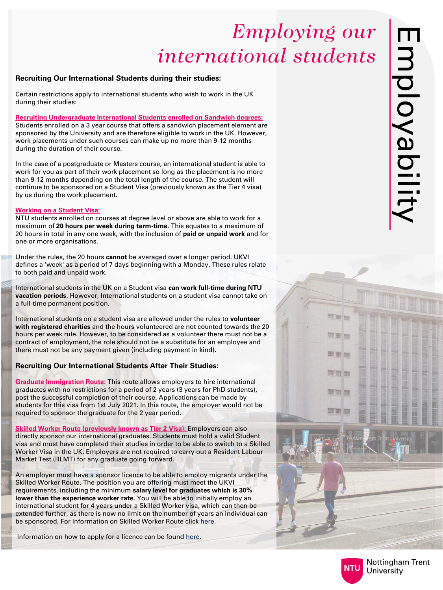### **Recruiting Our International Students during their studies:**

Certain restrictions apply to international students who wish to work in the UK during their studies:

**Recruiting Undergraduate International Students enrolled on Sandwich degrees:** Students enrolled on a 3 year course that offers a sandwich placement element are sponsored by the University and are therefore eligible to work in the UK. However, work placements under such courses can make up no more than 9 -12 months during the duration of their course.

In the case of a postgraduate or Masters course, an international student is able to work for you as part of their work placement so long as the placement is no more than 9 -12 months depending on the total length of the course. The student will continue to be sponsored on a Student Visa (previously known as the Tier 4 visa) by us during the work placement.

International students in the UK on a Student visa can work full-time during NTU **vacation periods**. However, International students on a student visa cannot take on a full -time permanent position.

#### **Working on a Student Visa:**

NTU students enrolled on courses at degree level or above are able to work for a maximum of **20 hours per week during term -time**. This equates to a maximum of 20 hours in total in any one week, with the inclusion of **paid or unpaid work** and for one or more organisations.

Under the rules, the 20 hours **cannot** be averaged over a longer period. UKVI defines a 'week' as a period of 7 days beginning with a Monday. These rules relate to both paid and unpaid work.

**Skilled Worker Route (previously known as Tier 2 Visa):** Employers can also directly sponsor our international graduates. Students must hold a valid Student visa and must have completed their studies in order to be able to switch to a Skilled Worker Visa in the UK. Employers are not required to carry out a Resident Labour Market Test (RLMT) for any graduate going forward.

International students on a student visa are allowed under the rules to **volunteer with registered charities** and the hours volunteered are not counted towards the 20 hours per week rule. However, to be considered as a volunteer there must not be a contract of employment, the role should not be a substitute for an employee and there must not be any payment given (including payment in kind).

### **Recruiting Our International Students After Their Studies:**

**Graduate Immigration Route:** This route allows employers to hire international graduates with no restrictions for a period of 2 years (3 years for PhD students), post the successful completion of their course. Applications can be made by students for this visa from 1st July 2021. In this route, the employer would not be required to sponsor the graduate for the 2 year period.

An employer must have a sponsor licence to be able to employ migrants under the Skilled Worker Route. The position you are offering must meet the UKVI requirements, including the minimum **salary level for graduates which is 30% lower than the experience worker rate**. You will be able to initially employ an international student for 4 years under a Skilled Worker visa, which can then be extended further, as there is now no limit on the number of years an individual can be sponsored. For information on Skilled Worker Route click [here](https://www.gov.uk/skilled-worker-visa).

Information on how to apply for a licence can be found [here.](https://www.gov.uk/uk-visa-sponsorship-employers/types-of-licence)



**ET ET** 

**CIT SIT For** 

图画面

**The Company** 

面面面

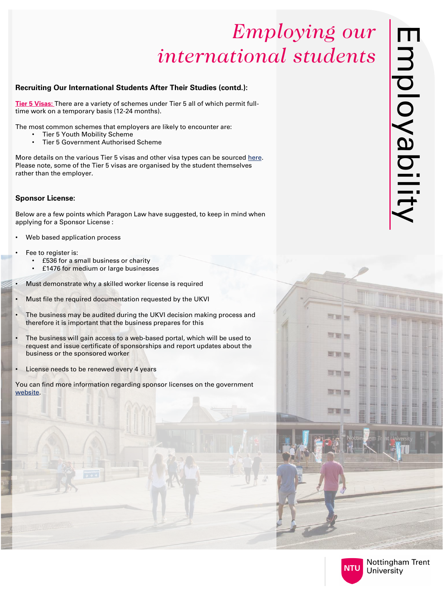### **Recruiting Our International Students After Their Studies (contd.):**

**Tier 5 Visas:** There are a variety of schemes under Tier 5 all of which permit fulltime work on a temporary basis (12-24 months).

The most common schemes that employers are likely to encounter are:

More details on the various Tier 5 visas and other visa types can be sourced [here](https://www.gov.uk/browse/visas-immigration/work-visas). Please note, some of the Tier 5 visas are organised by the student themselves rather than the employer.

- Tier 5 Youth Mobility Scheme
- Tier 5 Government Authorised Scheme

### **Sponsor License:**

Below are a few points which Paragon Law have suggested, to keep in mind when applying for a Sponsor License :

- Web based application process
- Fee to register is:
	- £536 for a small business or charity
	- £1476 for medium or large businesses
- Must demonstrate why a skilled worker license is required
- Must file the required documentation requested by the UKVI
- The business may be audited during the UKVI decision making process and therefore it is important that the business prepares for this
- The business will gain access to a web-based portal, which will be used to request and issue certificate of sponsorships and report updates about the business or the sponsored worker
- License needs to be renewed every 4 years

You can find more information regarding sponsor licenses on the government [website.](https://pbisemployers.campaign.gov.uk/)





THE IT

可言而

国国国

可可图

面目面